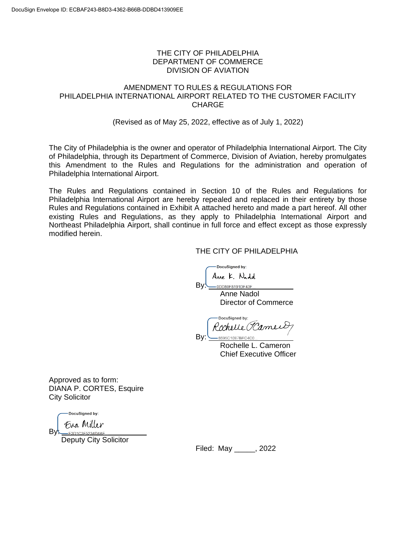#### THE CITY OF PHILADELPHIA DEPARTMENT OF COMMERCE DIVISION OF AVIATION

#### AMENDMENT TO RULES & REGULATIONS FOR PHILADELPHIA INTERNATIONAL AIRPORT RELATED TO THE CUSTOMER FACILITY **CHARGE**

#### (Revised as of May 25, 2022, effective as of July 1, 2022)

The City of Philadelphia is the owner and operator of Philadelphia International Airport. The City of Philadelphia, through its Department of Commerce, Division of Aviation, hereby promulgates this Amendment to the Rules and Regulations for the administration and operation of Philadelphia International Airport.

The Rules and Regulations contained in Section 10 of the Rules and Regulations for Philadelphia International Airport are hereby repealed and replaced in their entirety by those Rules and Regulations contained in Exhibit A attached hereto and made a part hereof. All other existing Rules and Regulations, as they apply to Philadelphia International Airport and Northeast Philadelphia Airport, shall continue in full force and effect except as those expressly modified herein.

By!

#### THE CITY OF PHILADELPHIA

-DocuSigned by:

Anne K. Nadd

-0DD80F8191DF43F... Anne Nadol Director of Commerce

DocuSianed by: Rochelle (Hame By: 8695C10E7BEC4C0

 Rochelle L. Cameron Chief Executive Officer

Approved as to form: DIANA P. CORTES, Esquire City Solicitor

DocuSianed by:

ByL

Deputy City Solicitor

Filed: May \_\_\_\_\_, 2022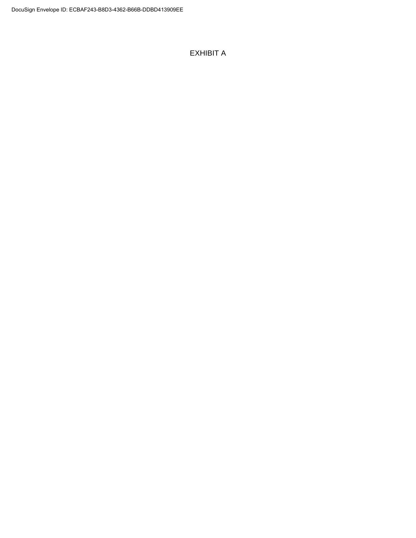## EXHIBIT A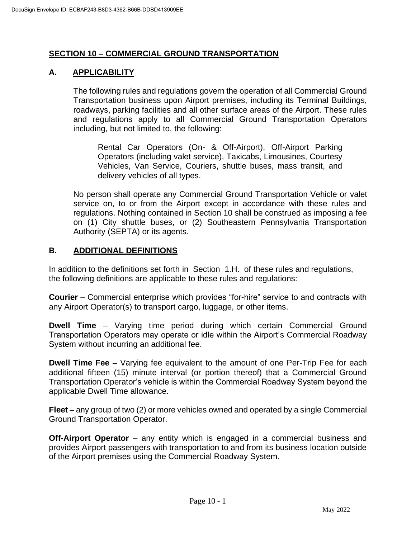## **SECTION 10 – COMMERCIAL GROUND TRANSPORTATION**

# **A. APPLICABILITY**

The following rules and regulations govern the operation of all Commercial Ground Transportation business upon Airport premises, including its Terminal Buildings, roadways, parking facilities and all other surface areas of the Airport. These rules and regulations apply to all Commercial Ground Transportation Operators including, but not limited to, the following:

Rental Car Operators (On- & Off-Airport), Off-Airport Parking Operators (including valet service), Taxicabs, Limousines, Courtesy Vehicles, Van Service, Couriers, shuttle buses, mass transit, and delivery vehicles of all types.

No person shall operate any Commercial Ground Transportation Vehicle or valet service on, to or from the Airport except in accordance with these rules and regulations. Nothing contained in Section 10 shall be construed as imposing a fee on (1) City shuttle buses, or (2) Southeastern Pennsylvania Transportation Authority (SEPTA) or its agents.

# **B. ADDITIONAL DEFINITIONS**

In addition to the definitions set forth in Section 1.H. of these rules and regulations, the following definitions are applicable to these rules and regulations:

**Courier** – Commercial enterprise which provides "for-hire" service to and contracts with any Airport Operator(s) to transport cargo, luggage, or other items.

**Dwell Time** – Varying time period during which certain Commercial Ground Transportation Operators may operate or idle within the Airport's Commercial Roadway System without incurring an additional fee.

**Dwell Time Fee** – Varying fee equivalent to the amount of one Per-Trip Fee for each additional fifteen (15) minute interval (or portion thereof) that a Commercial Ground Transportation Operator's vehicle is within the Commercial Roadway System beyond the applicable Dwell Time allowance.

**Fleet** – any group of two (2) or more vehicles owned and operated by a single Commercial Ground Transportation Operator.

**Off-Airport Operator** – any entity which is engaged in a commercial business and provides Airport passengers with transportation to and from its business location outside of the Airport premises using the Commercial Roadway System.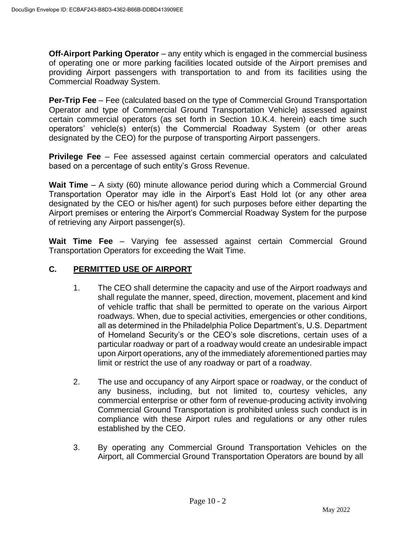**Off-Airport Parking Operator** – any entity which is engaged in the commercial business of operating one or more parking facilities located outside of the Airport premises and providing Airport passengers with transportation to and from its facilities using the Commercial Roadway System.

**Per-Trip Fee** – Fee (calculated based on the type of Commercial Ground Transportation Operator and type of Commercial Ground Transportation Vehicle) assessed against certain commercial operators (as set forth in Section 10.K.4. herein) each time such operators' vehicle(s) enter(s) the Commercial Roadway System (or other areas designated by the CEO) for the purpose of transporting Airport passengers.

**Privilege Fee** – Fee assessed against certain commercial operators and calculated based on a percentage of such entity's Gross Revenue.

**Wait Time** – A sixty (60) minute allowance period during which a Commercial Ground Transportation Operator may idle in the Airport's East Hold lot (or any other area designated by the CEO or his/her agent) for such purposes before either departing the Airport premises or entering the Airport's Commercial Roadway System for the purpose of retrieving any Airport passenger(s).

**Wait Time Fee** – Varying fee assessed against certain Commercial Ground Transportation Operators for exceeding the Wait Time.

# **C. PERMITTED USE OF AIRPORT**

- 1. The CEO shall determine the capacity and use of the Airport roadways and shall regulate the manner, speed, direction, movement, placement and kind of vehicle traffic that shall be permitted to operate on the various Airport roadways. When, due to special activities, emergencies or other conditions, all as determined in the Philadelphia Police Department's, U.S. Department of Homeland Security's or the CEO's sole discretions, certain uses of a particular roadway or part of a roadway would create an undesirable impact upon Airport operations, any of the immediately aforementioned parties may limit or restrict the use of any roadway or part of a roadway.
- 2. The use and occupancy of any Airport space or roadway, or the conduct of any business, including, but not limited to, courtesy vehicles, any commercial enterprise or other form of revenue-producing activity involving Commercial Ground Transportation is prohibited unless such conduct is in compliance with these Airport rules and regulations or any other rules established by the CEO.
- 3. By operating any Commercial Ground Transportation Vehicles on the Airport, all Commercial Ground Transportation Operators are bound by all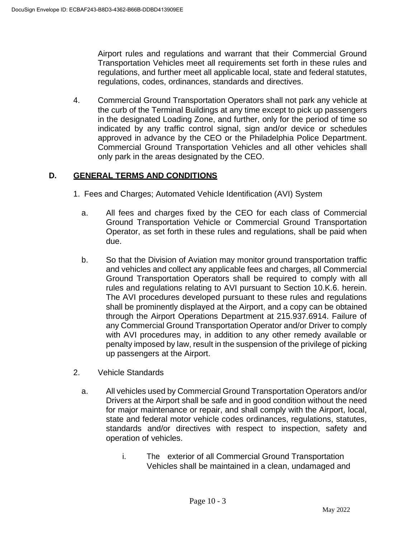Airport rules and regulations and warrant that their Commercial Ground Transportation Vehicles meet all requirements set forth in these rules and regulations, and further meet all applicable local, state and federal statutes, regulations, codes, ordinances, standards and directives.

4. Commercial Ground Transportation Operators shall not park any vehicle at the curb of the Terminal Buildings at any time except to pick up passengers in the designated Loading Zone, and further, only for the period of time so indicated by any traffic control signal, sign and/or device or schedules approved in advance by the CEO or the Philadelphia Police Department. Commercial Ground Transportation Vehicles and all other vehicles shall only park in the areas designated by the CEO.

# **D. GENERAL TERMS AND CONDITIONS**

- 1. Fees and Charges; Automated Vehicle Identification (AVI) System
	- a. All fees and charges fixed by the CEO for each class of Commercial Ground Transportation Vehicle or Commercial Ground Transportation Operator, as set forth in these rules and regulations, shall be paid when due.
	- b. So that the Division of Aviation may monitor ground transportation traffic and vehicles and collect any applicable fees and charges, all Commercial Ground Transportation Operators shall be required to comply with all rules and regulations relating to AVI pursuant to Section 10.K.6. herein. The AVI procedures developed pursuant to these rules and regulations shall be prominently displayed at the Airport, and a copy can be obtained through the Airport Operations Department at 215.937.6914. Failure of any Commercial Ground Transportation Operator and/or Driver to comply with AVI procedures may, in addition to any other remedy available or penalty imposed by law, result in the suspension of the privilege of picking up passengers at the Airport.
- 2. Vehicle Standards
	- a. All vehicles used by Commercial Ground Transportation Operators and/or Drivers at the Airport shall be safe and in good condition without the need for major maintenance or repair, and shall comply with the Airport, local, state and federal motor vehicle codes ordinances, regulations, statutes, standards and/or directives with respect to inspection, safety and operation of vehicles.
		- i. The exterior of all Commercial Ground Transportation Vehicles shall be maintained in a clean, undamaged and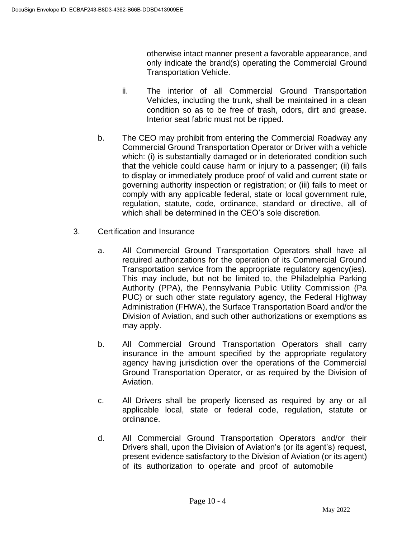otherwise intact manner present a favorable appearance, and only indicate the brand(s) operating the Commercial Ground Transportation Vehicle.

- ii. The interior of all Commercial Ground Transportation Vehicles, including the trunk, shall be maintained in a clean condition so as to be free of trash, odors, dirt and grease. Interior seat fabric must not be ripped.
- b. The CEO may prohibit from entering the Commercial Roadway any Commercial Ground Transportation Operator or Driver with a vehicle which: (i) is substantially damaged or in deteriorated condition such that the vehicle could cause harm or injury to a passenger; (ii) fails to display or immediately produce proof of valid and current state or governing authority inspection or registration; or (iii) fails to meet or comply with any applicable federal, state or local government rule, regulation, statute, code, ordinance, standard or directive, all of which shall be determined in the CEO's sole discretion.
- 3. Certification and Insurance
	- a. All Commercial Ground Transportation Operators shall have all required authorizations for the operation of its Commercial Ground Transportation service from the appropriate regulatory agency(ies). This may include, but not be limited to, the Philadelphia Parking Authority (PPA), the Pennsylvania Public Utility Commission (Pa PUC) or such other state regulatory agency, the Federal Highway Administration (FHWA), the Surface Transportation Board and/or the Division of Aviation, and such other authorizations or exemptions as may apply.
	- b. All Commercial Ground Transportation Operators shall carry insurance in the amount specified by the appropriate regulatory agency having jurisdiction over the operations of the Commercial Ground Transportation Operator, or as required by the Division of Aviation.
	- c. All Drivers shall be properly licensed as required by any or all applicable local, state or federal code, regulation, statute or ordinance.
	- d. All Commercial Ground Transportation Operators and/or their Drivers shall, upon the Division of Aviation's (or its agent's) request, present evidence satisfactory to the Division of Aviation (or its agent) of its authorization to operate and proof of automobile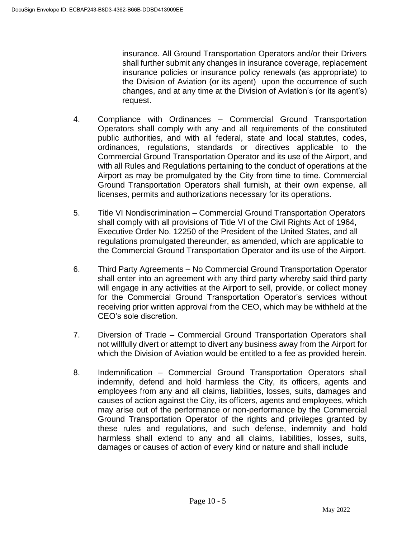insurance. All Ground Transportation Operators and/or their Drivers shall further submit any changes in insurance coverage, replacement insurance policies or insurance policy renewals (as appropriate) to the Division of Aviation (or its agent) upon the occurrence of such changes, and at any time at the Division of Aviation's (or its agent's) request.

- 4. Compliance with Ordinances Commercial Ground Transportation Operators shall comply with any and all requirements of the constituted public authorities, and with all federal, state and local statutes, codes, ordinances, regulations, standards or directives applicable to the Commercial Ground Transportation Operator and its use of the Airport, and with all Rules and Regulations pertaining to the conduct of operations at the Airport as may be promulgated by the City from time to time. Commercial Ground Transportation Operators shall furnish, at their own expense, all licenses, permits and authorizations necessary for its operations.
- 5. Title VI Nondiscrimination Commercial Ground Transportation Operators shall comply with all provisions of Title VI of the Civil Rights Act of 1964, Executive Order No. 12250 of the President of the United States, and all regulations promulgated thereunder, as amended, which are applicable to the Commercial Ground Transportation Operator and its use of the Airport.
- 6. Third Party Agreements No Commercial Ground Transportation Operator shall enter into an agreement with any third party whereby said third party will engage in any activities at the Airport to sell, provide, or collect money for the Commercial Ground Transportation Operator's services without receiving prior written approval from the CEO, which may be withheld at the CEO's sole discretion.
- 7. Diversion of Trade Commercial Ground Transportation Operators shall not willfully divert or attempt to divert any business away from the Airport for which the Division of Aviation would be entitled to a fee as provided herein.
- 8. Indemnification Commercial Ground Transportation Operators shall indemnify, defend and hold harmless the City, its officers, agents and employees from any and all claims, liabilities, losses, suits, damages and causes of action against the City, its officers, agents and employees, which may arise out of the performance or non-performance by the Commercial Ground Transportation Operator of the rights and privileges granted by these rules and regulations, and such defense, indemnity and hold harmless shall extend to any and all claims, liabilities, losses, suits, damages or causes of action of every kind or nature and shall include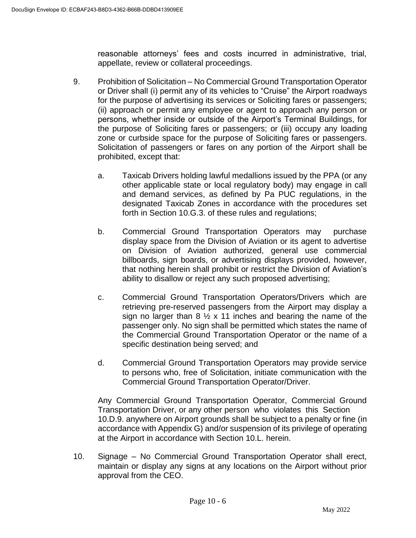reasonable attorneys' fees and costs incurred in administrative, trial, appellate, review or collateral proceedings.

- 9. Prohibition of Solicitation No Commercial Ground Transportation Operator or Driver shall (i) permit any of its vehicles to "Cruise" the Airport roadways for the purpose of advertising its services or Soliciting fares or passengers; (ii) approach or permit any employee or agent to approach any person or persons, whether inside or outside of the Airport's Terminal Buildings, for the purpose of Soliciting fares or passengers; or (iii) occupy any loading zone or curbside space for the purpose of Soliciting fares or passengers. Solicitation of passengers or fares on any portion of the Airport shall be prohibited, except that:
	- a. Taxicab Drivers holding lawful medallions issued by the PPA (or any other applicable state or local regulatory body) may engage in call and demand services, as defined by Pa PUC regulations, in the designated Taxicab Zones in accordance with the procedures set forth in Section 10.G.3. of these rules and regulations;
	- b. Commercial Ground Transportation Operators may purchase display space from the Division of Aviation or its agent to advertise on Division of Aviation authorized, general use commercial billboards, sign boards, or advertising displays provided, however, that nothing herein shall prohibit or restrict the Division of Aviation's ability to disallow or reject any such proposed advertising;
	- c. Commercial Ground Transportation Operators/Drivers which are retrieving pre-reserved passengers from the Airport may display a sign no larger than  $8\frac{1}{2} \times 11$  inches and bearing the name of the passenger only. No sign shall be permitted which states the name of the Commercial Ground Transportation Operator or the name of a specific destination being served; and
	- d. Commercial Ground Transportation Operators may provide service to persons who, free of Solicitation, initiate communication with the Commercial Ground Transportation Operator/Driver.

Any Commercial Ground Transportation Operator, Commercial Ground Transportation Driver, or any other person who violates this Section 10.D.9. anywhere on Airport grounds shall be subject to a penalty or fine (in accordance with Appendix G) and/or suspension of its privilege of operating at the Airport in accordance with Section 10.L. herein.

10. Signage – No Commercial Ground Transportation Operator shall erect, maintain or display any signs at any locations on the Airport without prior approval from the CEO.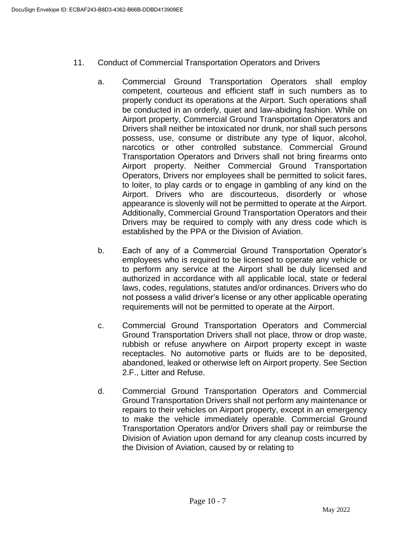- 11. Conduct of Commercial Transportation Operators and Drivers
	- a. Commercial Ground Transportation Operators shall employ competent, courteous and efficient staff in such numbers as to properly conduct its operations at the Airport. Such operations shall be conducted in an orderly, quiet and law-abiding fashion. While on Airport property, Commercial Ground Transportation Operators and Drivers shall neither be intoxicated nor drunk, nor shall such persons possess, use, consume or distribute any type of liquor, alcohol, narcotics or other controlled substance. Commercial Ground Transportation Operators and Drivers shall not bring firearms onto Airport property. Neither Commercial Ground Transportation Operators, Drivers nor employees shall be permitted to solicit fares, to loiter, to play cards or to engage in gambling of any kind on the Airport. Drivers who are discourteous, disorderly or whose appearance is slovenly will not be permitted to operate at the Airport. Additionally, Commercial Ground Transportation Operators and their Drivers may be required to comply with any dress code which is established by the PPA or the Division of Aviation.
	- b. Each of any of a Commercial Ground Transportation Operator's employees who is required to be licensed to operate any vehicle or to perform any service at the Airport shall be duly licensed and authorized in accordance with all applicable local, state or federal laws, codes, regulations, statutes and/or ordinances. Drivers who do not possess a valid driver's license or any other applicable operating requirements will not be permitted to operate at the Airport.
	- c. Commercial Ground Transportation Operators and Commercial Ground Transportation Drivers shall not place, throw or drop waste, rubbish or refuse anywhere on Airport property except in waste receptacles. No automotive parts or fluids are to be deposited, abandoned, leaked or otherwise left on Airport property. See Section 2.F., Litter and Refuse.
	- d. Commercial Ground Transportation Operators and Commercial Ground Transportation Drivers shall not perform any maintenance or repairs to their vehicles on Airport property, except in an emergency to make the vehicle immediately operable. Commercial Ground Transportation Operators and/or Drivers shall pay or reimburse the Division of Aviation upon demand for any cleanup costs incurred by the Division of Aviation, caused by or relating to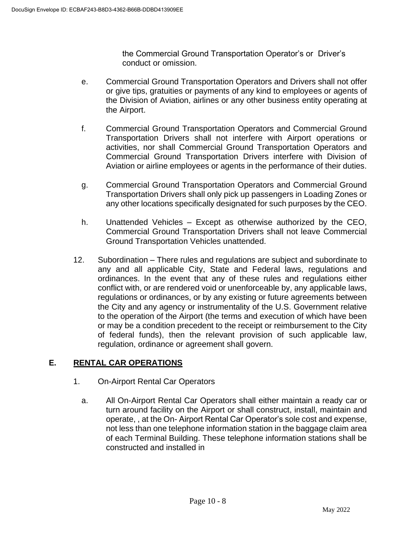the Commercial Ground Transportation Operator's or Driver's conduct or omission.

- e. Commercial Ground Transportation Operators and Drivers shall not offer or give tips, gratuities or payments of any kind to employees or agents of the Division of Aviation, airlines or any other business entity operating at the Airport.
- f. Commercial Ground Transportation Operators and Commercial Ground Transportation Drivers shall not interfere with Airport operations or activities, nor shall Commercial Ground Transportation Operators and Commercial Ground Transportation Drivers interfere with Division of Aviation or airline employees or agents in the performance of their duties.
- g. Commercial Ground Transportation Operators and Commercial Ground Transportation Drivers shall only pick up passengers in Loading Zones or any other locations specifically designated for such purposes by the CEO.
- h. Unattended Vehicles Except as otherwise authorized by the CEO, Commercial Ground Transportation Drivers shall not leave Commercial Ground Transportation Vehicles unattended.
- 12. Subordination There rules and regulations are subject and subordinate to any and all applicable City, State and Federal laws, regulations and ordinances. In the event that any of these rules and regulations either conflict with, or are rendered void or unenforceable by, any applicable laws, regulations or ordinances, or by any existing or future agreements between the City and any agency or instrumentality of the U.S. Government relative to the operation of the Airport (the terms and execution of which have been or may be a condition precedent to the receipt or reimbursement to the City of federal funds), then the relevant provision of such applicable law, regulation, ordinance or agreement shall govern.

# **E. RENTAL CAR OPERATIONS**

- 1. On-Airport Rental Car Operators
	- a. All On-Airport Rental Car Operators shall either maintain a ready car or turn around facility on the Airport or shall construct, install, maintain and operate, , at the On- Airport Rental Car Operator's sole cost and expense, not less than one telephone information station in the baggage claim area of each Terminal Building. These telephone information stations shall be constructed and installed in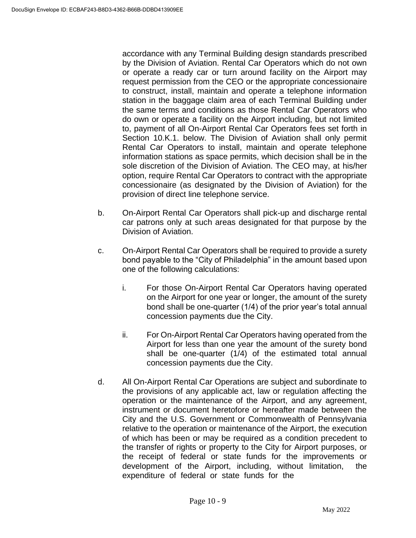accordance with any Terminal Building design standards prescribed by the Division of Aviation. Rental Car Operators which do not own or operate a ready car or turn around facility on the Airport may request permission from the CEO or the appropriate concessionaire to construct, install, maintain and operate a telephone information station in the baggage claim area of each Terminal Building under the same terms and conditions as those Rental Car Operators who do own or operate a facility on the Airport including, but not limited to, payment of all On-Airport Rental Car Operators fees set forth in Section 10.K.1. below. The Division of Aviation shall only permit Rental Car Operators to install, maintain and operate telephone information stations as space permits, which decision shall be in the sole discretion of the Division of Aviation. The CEO may, at his/her option, require Rental Car Operators to contract with the appropriate concessionaire (as designated by the Division of Aviation) for the provision of direct line telephone service.

- b. On-Airport Rental Car Operators shall pick-up and discharge rental car patrons only at such areas designated for that purpose by the Division of Aviation.
- c. On-Airport Rental Car Operators shall be required to provide a surety bond payable to the "City of Philadelphia" in the amount based upon one of the following calculations:
	- i. For those On-Airport Rental Car Operators having operated on the Airport for one year or longer, the amount of the surety bond shall be one-quarter (1/4) of the prior year's total annual concession payments due the City.
	- ii. For On-Airport Rental Car Operators having operated from the Airport for less than one year the amount of the surety bond shall be one-quarter (1/4) of the estimated total annual concession payments due the City.
- d. All On-Airport Rental Car Operations are subject and subordinate to the provisions of any applicable act, law or regulation affecting the operation or the maintenance of the Airport, and any agreement, instrument or document heretofore or hereafter made between the City and the U.S. Government or Commonwealth of Pennsylvania relative to the operation or maintenance of the Airport, the execution of which has been or may be required as a condition precedent to the transfer of rights or property to the City for Airport purposes, or the receipt of federal or state funds for the improvements or development of the Airport, including, without limitation, the expenditure of federal or state funds for the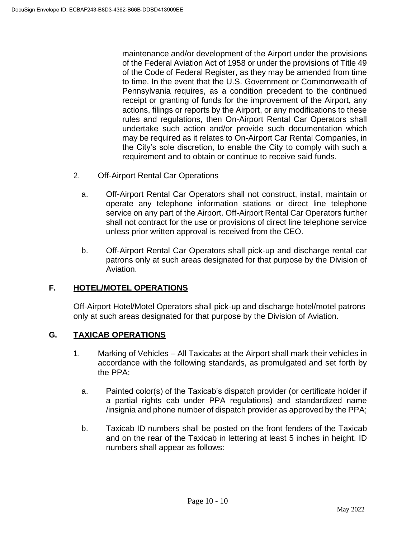maintenance and/or development of the Airport under the provisions of the Federal Aviation Act of 1958 or under the provisions of Title 49 of the Code of Federal Register, as they may be amended from time to time. In the event that the U.S. Government or Commonwealth of Pennsylvania requires, as a condition precedent to the continued receipt or granting of funds for the improvement of the Airport, any actions, filings or reports by the Airport, or any modifications to these rules and regulations, then On-Airport Rental Car Operators shall undertake such action and/or provide such documentation which may be required as it relates to On-Airport Car Rental Companies, in the City's sole discretion, to enable the City to comply with such a requirement and to obtain or continue to receive said funds.

- 2. Off-Airport Rental Car Operations
	- a. Off-Airport Rental Car Operators shall not construct, install, maintain or operate any telephone information stations or direct line telephone service on any part of the Airport. Off-Airport Rental Car Operators further shall not contract for the use or provisions of direct line telephone service unless prior written approval is received from the CEO.
	- b. Off-Airport Rental Car Operators shall pick-up and discharge rental car patrons only at such areas designated for that purpose by the Division of Aviation.

## **F. HOTEL/MOTEL OPERATIONS**

Off-Airport Hotel/Motel Operators shall pick-up and discharge hotel/motel patrons only at such areas designated for that purpose by the Division of Aviation.

### **G. TAXICAB OPERATIONS**

- 1. Marking of Vehicles All Taxicabs at the Airport shall mark their vehicles in accordance with the following standards, as promulgated and set forth by the PPA:
	- a. Painted color(s) of the Taxicab's dispatch provider (or certificate holder if a partial rights cab under PPA regulations) and standardized name /insignia and phone number of dispatch provider as approved by the PPA;
	- b. Taxicab ID numbers shall be posted on the front fenders of the Taxicab and on the rear of the Taxicab in lettering at least 5 inches in height. ID numbers shall appear as follows: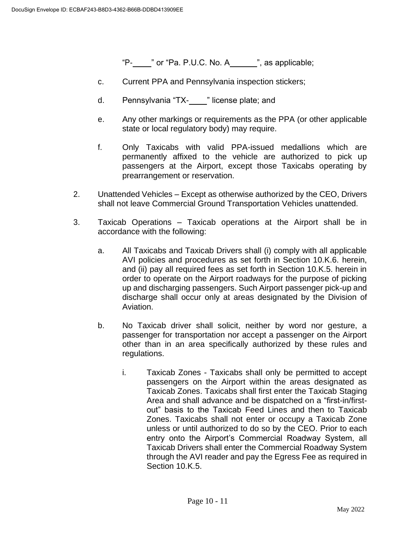"P- $\frac{1}{2}$ " or "Pa. P.U.C. No. A $\frac{1}{2}$ ", as applicable;

- c. Current PPA and Pennsylvania inspection stickers;
- d. Pennsylvania "TX-\_\_\_\_" license plate; and
- e. Any other markings or requirements as the PPA (or other applicable state or local regulatory body) may require.
- f. Only Taxicabs with valid PPA-issued medallions which are permanently affixed to the vehicle are authorized to pick up passengers at the Airport, except those Taxicabs operating by prearrangement or reservation.
- 2. Unattended Vehicles Except as otherwise authorized by the CEO, Drivers shall not leave Commercial Ground Transportation Vehicles unattended.
- 3. Taxicab Operations Taxicab operations at the Airport shall be in accordance with the following:
	- a. All Taxicabs and Taxicab Drivers shall (i) comply with all applicable AVI policies and procedures as set forth in Section 10.K.6. herein, and (ii) pay all required fees as set forth in Section 10.K.5. herein in order to operate on the Airport roadways for the purpose of picking up and discharging passengers. Such Airport passenger pick-up and discharge shall occur only at areas designated by the Division of Aviation.
	- b. No Taxicab driver shall solicit, neither by word nor gesture, a passenger for transportation nor accept a passenger on the Airport other than in an area specifically authorized by these rules and regulations.
		- i. Taxicab Zones Taxicabs shall only be permitted to accept passengers on the Airport within the areas designated as Taxicab Zones. Taxicabs shall first enter the Taxicab Staging Area and shall advance and be dispatched on a "first-in/firstout" basis to the Taxicab Feed Lines and then to Taxicab Zones. Taxicabs shall not enter or occupy a Taxicab Zone unless or until authorized to do so by the CEO. Prior to each entry onto the Airport's Commercial Roadway System, all Taxicab Drivers shall enter the Commercial Roadway System through the AVI reader and pay the Egress Fee as required in Section 10.K.5.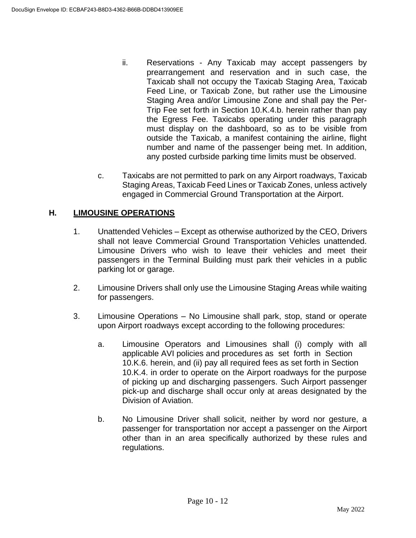- ii. Reservations Any Taxicab may accept passengers by prearrangement and reservation and in such case, the Taxicab shall not occupy the Taxicab Staging Area, Taxicab Feed Line, or Taxicab Zone, but rather use the Limousine Staging Area and/or Limousine Zone and shall pay the Per-Trip Fee set forth in Section 10.K.4.b. herein rather than pay the Egress Fee. Taxicabs operating under this paragraph must display on the dashboard, so as to be visible from outside the Taxicab, a manifest containing the airline, flight number and name of the passenger being met. In addition, any posted curbside parking time limits must be observed.
- c. Taxicabs are not permitted to park on any Airport roadways, Taxicab Staging Areas, Taxicab Feed Lines or Taxicab Zones, unless actively engaged in Commercial Ground Transportation at the Airport.

## **H. LIMOUSINE OPERATIONS**

- 1. Unattended Vehicles Except as otherwise authorized by the CEO, Drivers shall not leave Commercial Ground Transportation Vehicles unattended. Limousine Drivers who wish to leave their vehicles and meet their passengers in the Terminal Building must park their vehicles in a public parking lot or garage.
- 2. Limousine Drivers shall only use the Limousine Staging Areas while waiting for passengers.
- 3. Limousine Operations No Limousine shall park, stop, stand or operate upon Airport roadways except according to the following procedures:
	- a. Limousine Operators and Limousines shall (i) comply with all applicable AVI policies and procedures as set forth in Section 10.K.6. herein, and (ii) pay all required fees as set forth in Section 10.K.4. in order to operate on the Airport roadways for the purpose of picking up and discharging passengers. Such Airport passenger pick-up and discharge shall occur only at areas designated by the Division of Aviation.
	- b. No Limousine Driver shall solicit, neither by word nor gesture, a passenger for transportation nor accept a passenger on the Airport other than in an area specifically authorized by these rules and regulations.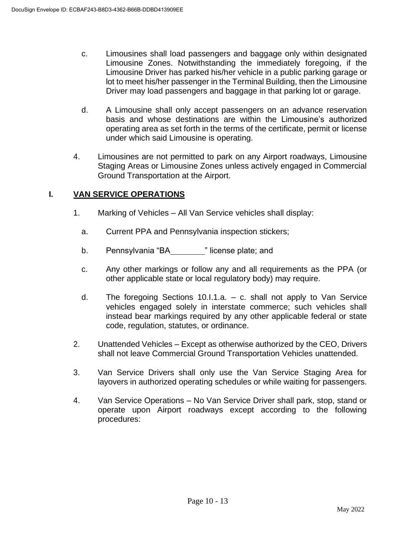- c. Limousines shall load passengers and baggage only within designated Limousine Zones. Notwithstanding the immediately foregoing, if the Limousine Driver has parked his/her vehicle in a public parking garage or lot to meet his/her passenger in the Terminal Building, then the Limousine Driver may load passengers and baggage in that parking lot or garage.
- d. A Limousine shall only accept passengers on an advance reservation basis and whose destinations are within the Limousine's authorized operating area as set forth in the terms of the certificate, permit or license under which said Limousine is operating.
- 4. Limousines are not permitted to park on any Airport roadways, Limousine Staging Areas or Limousine Zones unless actively engaged in Commercial Ground Transportation at the Airport.

## **I. VAN SERVICE OPERATIONS**

- 1. Marking of Vehicles All Van Service vehicles shall display:
	- a. Current PPA and Pennsylvania inspection stickers;
	- b. Pennsylvania "BA " license plate; and
	- c. Any other markings or follow any and all requirements as the PPA (or other applicable state or local regulatory body) may require.
	- d. The foregoing Sections 10.I.1.a. c. shall not apply to Van Service vehicles engaged solely in interstate commerce; such vehicles shall instead bear markings required by any other applicable federal or state code, regulation, statutes, or ordinance.
- 2. Unattended Vehicles Except as otherwise authorized by the CEO, Drivers shall not leave Commercial Ground Transportation Vehicles unattended.
- 3. Van Service Drivers shall only use the Van Service Staging Area for layovers in authorized operating schedules or while waiting for passengers.
- 4. Van Service Operations No Van Service Driver shall park, stop, stand or operate upon Airport roadways except according to the following procedures: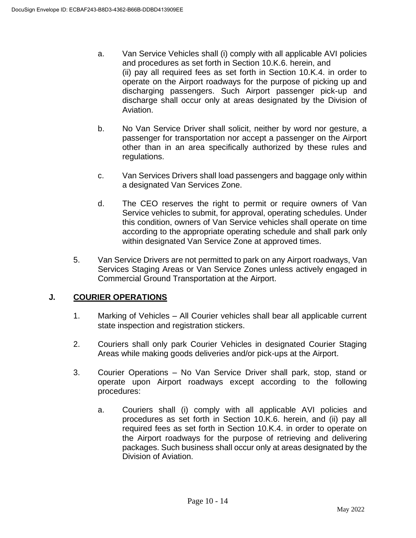- a. Van Service Vehicles shall (i) comply with all applicable AVI policies and procedures as set forth in Section 10.K.6. herein, and (ii) pay all required fees as set forth in Section 10.K.4. in order to operate on the Airport roadways for the purpose of picking up and discharging passengers. Such Airport passenger pick-up and discharge shall occur only at areas designated by the Division of Aviation.
- b. No Van Service Driver shall solicit, neither by word nor gesture, a passenger for transportation nor accept a passenger on the Airport other than in an area specifically authorized by these rules and regulations.
- c. Van Services Drivers shall load passengers and baggage only within a designated Van Services Zone.
- d. The CEO reserves the right to permit or require owners of Van Service vehicles to submit, for approval, operating schedules. Under this condition, owners of Van Service vehicles shall operate on time according to the appropriate operating schedule and shall park only within designated Van Service Zone at approved times.
- 5. Van Service Drivers are not permitted to park on any Airport roadways, Van Services Staging Areas or Van Service Zones unless actively engaged in Commercial Ground Transportation at the Airport.

## **J. COURIER OPERATIONS**

- 1. Marking of Vehicles All Courier vehicles shall bear all applicable current state inspection and registration stickers.
- 2. Couriers shall only park Courier Vehicles in designated Courier Staging Areas while making goods deliveries and/or pick-ups at the Airport.
- 3. Courier Operations No Van Service Driver shall park, stop, stand or operate upon Airport roadways except according to the following procedures:
	- a. Couriers shall (i) comply with all applicable AVI policies and procedures as set forth in Section 10.K.6. herein, and (ii) pay all required fees as set forth in Section 10.K.4. in order to operate on the Airport roadways for the purpose of retrieving and delivering packages. Such business shall occur only at areas designated by the Division of Aviation.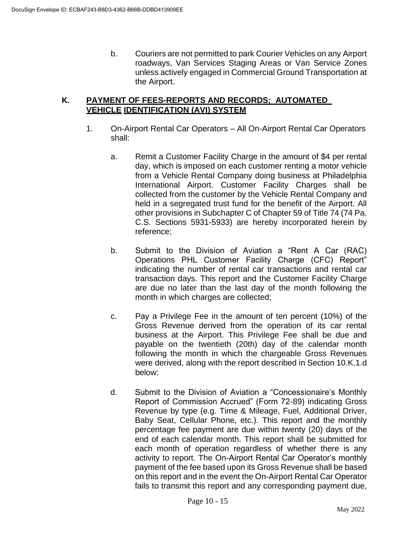b. Couriers are not permitted to park Courier Vehicles on any Airport roadways, Van Services Staging Areas or Van Service Zones unless actively engaged in Commercial Ground Transportation at the Airport.

### **K. PAYMENT OF FEES-REPORTS AND RECORDS; AUTOMATED VEHICLE IDENTIFICATION (AVI) SYSTEM**

- 1. On-Airport Rental Car Operators All On-Airport Rental Car Operators shall:
	- a. Remit a Customer Facility Charge in the amount of \$4 per rental day, which is imposed on each customer renting a motor vehicle from a Vehicle Rental Company doing business at Philadelphia International Airport. Customer Facility Charges shall be collected from the customer by the Vehicle Rental Company and held in a segregated trust fund for the benefit of the Airport. All other provisions in Subchapter C of Chapter 59 of Title 74 (74 Pa. C.S. Sections 5931-5933) are hereby incorporated herein by reference;
	- b. Submit to the Division of Aviation a "Rent A Car (RAC) Operations PHL Customer Facility Charge (CFC) Report" indicating the number of rental car transactions and rental car transaction days. This report and the Customer Facility Charge are due no later than the last day of the month following the month in which charges are collected;
	- c. Pay a Privilege Fee in the amount of ten percent (10%) of the Gross Revenue derived from the operation of its car rental business at the Airport. This Privilege Fee shall be due and payable on the twentieth (20th) day of the calendar month following the month in which the chargeable Gross Revenues were derived, along with the report described in Section 10.K.1.d below;
	- d. Submit to the Division of Aviation a "Concessionaire's Monthly Report of Commission Accrued" (Form 72-89) indicating Gross Revenue by type (e.g. Time & Mileage, Fuel, Additional Driver, Baby Seat, Cellular Phone, etc.). This report and the monthly percentage fee payment are due within twenty (20) days of the end of each calendar month. This report shall be submitted for each month of operation regardless of whether there is any activity to report. The On-Airport Rental Car Operator's monthly payment of the fee based upon its Gross Revenue shall be based on this report and in the event the On-Airport Rental Car Operator fails to transmit this report and any corresponding payment due,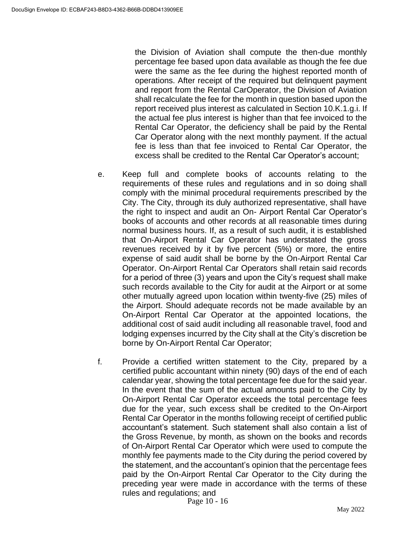the Division of Aviation shall compute the then-due monthly percentage fee based upon data available as though the fee due were the same as the fee during the highest reported month of operations. After receipt of the required but delinquent payment and report from the Rental CarOperator, the Division of Aviation shall recalculate the fee for the month in question based upon the report received plus interest as calculated in Section 10.K.1.g.i. If the actual fee plus interest is higher than that fee invoiced to the Rental Car Operator, the deficiency shall be paid by the Rental Car Operator along with the next monthly payment. If the actual fee is less than that fee invoiced to Rental Car Operator, the excess shall be credited to the Rental Car Operator's account;

- e. Keep full and complete books of accounts relating to the requirements of these rules and regulations and in so doing shall comply with the minimal procedural requirements prescribed by the City. The City, through its duly authorized representative, shall have the right to inspect and audit an On- Airport Rental Car Operator's books of accounts and other records at all reasonable times during normal business hours. If, as a result of such audit, it is established that On-Airport Rental Car Operator has understated the gross revenues received by it by five percent (5%) or more, the entire expense of said audit shall be borne by the On-Airport Rental Car Operator. On-Airport Rental Car Operators shall retain said records for a period of three (3) years and upon the City's request shall make such records available to the City for audit at the Airport or at some other mutually agreed upon location within twenty-five (25) miles of the Airport. Should adequate records not be made available by an On-Airport Rental Car Operator at the appointed locations, the additional cost of said audit including all reasonable travel, food and lodging expenses incurred by the City shall at the City's discretion be borne by On-Airport Rental Car Operator;
- f. Provide a certified written statement to the City, prepared by a certified public accountant within ninety (90) days of the end of each calendar year, showing the total percentage fee due for the said year. In the event that the sum of the actual amounts paid to the City by On-Airport Rental Car Operator exceeds the total percentage fees due for the year, such excess shall be credited to the On-Airport Rental Car Operator in the months following receipt of certified public accountant's statement. Such statement shall also contain a list of the Gross Revenue, by month, as shown on the books and records of On-Airport Rental Car Operator which were used to compute the monthly fee payments made to the City during the period covered by the statement, and the accountant's opinion that the percentage fees paid by the On-Airport Rental Car Operator to the City during the preceding year were made in accordance with the terms of these rules and regulations; and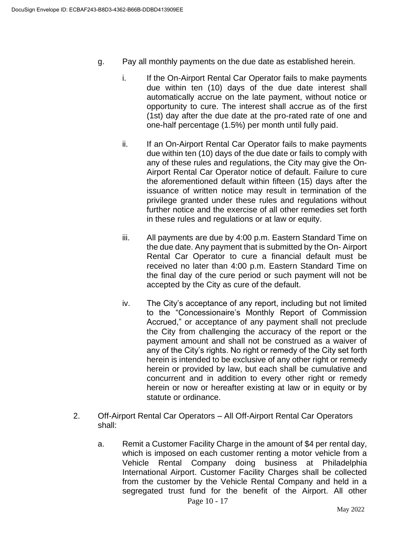- g. Pay all monthly payments on the due date as established herein.
	- i. If the On-Airport Rental Car Operator fails to make payments due within ten (10) days of the due date interest shall automatically accrue on the late payment, without notice or opportunity to cure. The interest shall accrue as of the first (1st) day after the due date at the pro-rated rate of one and one-half percentage (1.5%) per month until fully paid.
	- ii. If an On-Airport Rental Car Operator fails to make payments due within ten (10) days of the due date or fails to comply with any of these rules and regulations, the City may give the On-Airport Rental Car Operator notice of default. Failure to cure the aforementioned default within fifteen (15) days after the issuance of written notice may result in termination of the privilege granted under these rules and regulations without further notice and the exercise of all other remedies set forth in these rules and regulations or at law or equity.
	- iii. All payments are due by 4:00 p.m. Eastern Standard Time on the due date. Any payment that is submitted by the On- Airport Rental Car Operator to cure a financial default must be received no later than 4:00 p.m. Eastern Standard Time on the final day of the cure period or such payment will not be accepted by the City as cure of the default.
	- iv. The City's acceptance of any report, including but not limited to the "Concessionaire's Monthly Report of Commission Accrued," or acceptance of any payment shall not preclude the City from challenging the accuracy of the report or the payment amount and shall not be construed as a waiver of any of the City's rights. No right or remedy of the City set forth herein is intended to be exclusive of any other right or remedy herein or provided by law, but each shall be cumulative and concurrent and in addition to every other right or remedy herein or now or hereafter existing at law or in equity or by statute or ordinance.
- 2. Off-Airport Rental Car Operators All Off-Airport Rental Car Operators shall:
	- Page 10 17 a. Remit a Customer Facility Charge in the amount of \$4 per rental day, which is imposed on each customer renting a motor vehicle from a Vehicle Rental Company doing business at Philadelphia International Airport. Customer Facility Charges shall be collected from the customer by the Vehicle Rental Company and held in a segregated trust fund for the benefit of the Airport. All other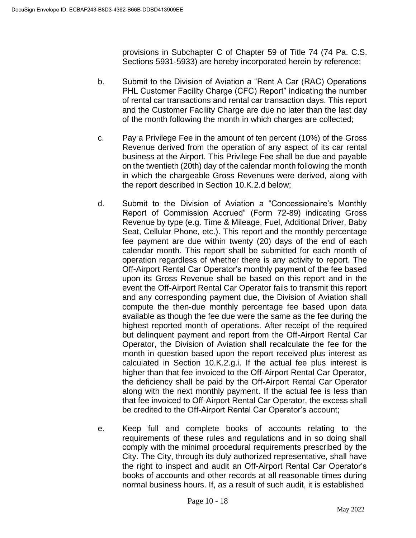provisions in Subchapter C of Chapter 59 of Title 74 (74 Pa. C.S. Sections 5931-5933) are hereby incorporated herein by reference;

- b. Submit to the Division of Aviation a "Rent A Car (RAC) Operations PHL Customer Facility Charge (CFC) Report" indicating the number of rental car transactions and rental car transaction days. This report and the Customer Facility Charge are due no later than the last day of the month following the month in which charges are collected;
- c. Pay a Privilege Fee in the amount of ten percent (10%) of the Gross Revenue derived from the operation of any aspect of its car rental business at the Airport. This Privilege Fee shall be due and payable on the twentieth (20th) day of the calendar month following the month in which the chargeable Gross Revenues were derived, along with the report described in Section 10.K.2.d below;
- d. Submit to the Division of Aviation a "Concessionaire's Monthly Report of Commission Accrued" (Form 72-89) indicating Gross Revenue by type (e.g. Time & Mileage, Fuel, Additional Driver, Baby Seat, Cellular Phone, etc.). This report and the monthly percentage fee payment are due within twenty (20) days of the end of each calendar month. This report shall be submitted for each month of operation regardless of whether there is any activity to report. The Off-Airport Rental Car Operator's monthly payment of the fee based upon its Gross Revenue shall be based on this report and in the event the Off-Airport Rental Car Operator fails to transmit this report and any corresponding payment due, the Division of Aviation shall compute the then-due monthly percentage fee based upon data available as though the fee due were the same as the fee during the highest reported month of operations. After receipt of the required but delinquent payment and report from the Off-Airport Rental Car Operator, the Division of Aviation shall recalculate the fee for the month in question based upon the report received plus interest as calculated in Section 10.K.2.g.i. If the actual fee plus interest is higher than that fee invoiced to the Off-Airport Rental Car Operator, the deficiency shall be paid by the Off-Airport Rental Car Operator along with the next monthly payment. If the actual fee is less than that fee invoiced to Off-Airport Rental Car Operator, the excess shall be credited to the Off-Airport Rental Car Operator's account;
- e. Keep full and complete books of accounts relating to the requirements of these rules and regulations and in so doing shall comply with the minimal procedural requirements prescribed by the City. The City, through its duly authorized representative, shall have the right to inspect and audit an Off-Airport Rental Car Operator's books of accounts and other records at all reasonable times during normal business hours. If, as a result of such audit, it is established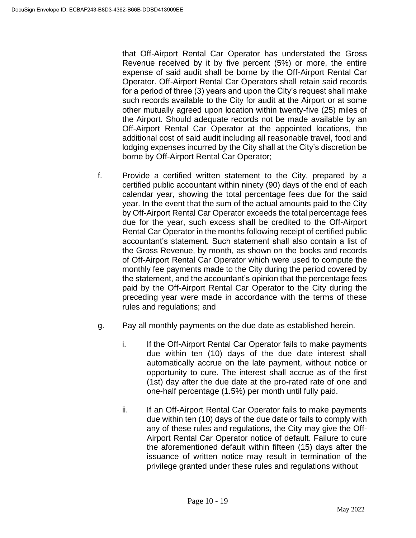that Off-Airport Rental Car Operator has understated the Gross Revenue received by it by five percent (5%) or more, the entire expense of said audit shall be borne by the Off-Airport Rental Car Operator. Off-Airport Rental Car Operators shall retain said records for a period of three (3) years and upon the City's request shall make such records available to the City for audit at the Airport or at some other mutually agreed upon location within twenty-five (25) miles of the Airport. Should adequate records not be made available by an Off-Airport Rental Car Operator at the appointed locations, the additional cost of said audit including all reasonable travel, food and lodging expenses incurred by the City shall at the City's discretion be borne by Off-Airport Rental Car Operator;

- f. Provide a certified written statement to the City, prepared by a certified public accountant within ninety (90) days of the end of each calendar year, showing the total percentage fees due for the said year. In the event that the sum of the actual amounts paid to the City by Off-Airport Rental Car Operator exceeds the total percentage fees due for the year, such excess shall be credited to the Off-Airport Rental Car Operator in the months following receipt of certified public accountant's statement. Such statement shall also contain a list of the Gross Revenue, by month, as shown on the books and records of Off-Airport Rental Car Operator which were used to compute the monthly fee payments made to the City during the period covered by the statement, and the accountant's opinion that the percentage fees paid by the Off-Airport Rental Car Operator to the City during the preceding year were made in accordance with the terms of these rules and regulations; and
- g. Pay all monthly payments on the due date as established herein.
	- i. If the Off-Airport Rental Car Operator fails to make payments due within ten (10) days of the due date interest shall automatically accrue on the late payment, without notice or opportunity to cure. The interest shall accrue as of the first (1st) day after the due date at the pro-rated rate of one and one-half percentage (1.5%) per month until fully paid.
	- ii. If an Off-Airport Rental Car Operator fails to make payments due within ten (10) days of the due date or fails to comply with any of these rules and regulations, the City may give the Off-Airport Rental Car Operator notice of default. Failure to cure the aforementioned default within fifteen (15) days after the issuance of written notice may result in termination of the privilege granted under these rules and regulations without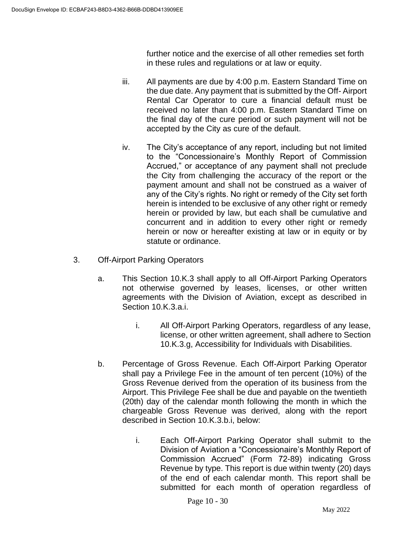further notice and the exercise of all other remedies set forth in these rules and regulations or at law or equity.

- iii. All payments are due by 4:00 p.m. Eastern Standard Time on the due date. Any payment that is submitted by the Off- Airport Rental Car Operator to cure a financial default must be received no later than 4:00 p.m. Eastern Standard Time on the final day of the cure period or such payment will not be accepted by the City as cure of the default.
- iv. The City's acceptance of any report, including but not limited to the "Concessionaire's Monthly Report of Commission Accrued," or acceptance of any payment shall not preclude the City from challenging the accuracy of the report or the payment amount and shall not be construed as a waiver of any of the City's rights. No right or remedy of the City set forth herein is intended to be exclusive of any other right or remedy herein or provided by law, but each shall be cumulative and concurrent and in addition to every other right or remedy herein or now or hereafter existing at law or in equity or by statute or ordinance.
- 3. Off-Airport Parking Operators
	- a. This Section 10.K.3 shall apply to all Off-Airport Parking Operators not otherwise governed by leases, licenses, or other written agreements with the Division of Aviation, except as described in Section 10.K.3.a.i.
		- i. All Off-Airport Parking Operators, regardless of any lease, license, or other written agreement, shall adhere to Section 10.K.3.g, Accessibility for Individuals with Disabilities.
	- b. Percentage of Gross Revenue. Each Off-Airport Parking Operator shall pay a Privilege Fee in the amount of ten percent (10%) of the Gross Revenue derived from the operation of its business from the Airport. This Privilege Fee shall be due and payable on the twentieth (20th) day of the calendar month following the month in which the chargeable Gross Revenue was derived, along with the report described in Section 10.K.3.b.i, below:
		- i. Each Off-Airport Parking Operator shall submit to the Division of Aviation a "Concessionaire's Monthly Report of Commission Accrued" (Form 72-89) indicating Gross Revenue by type. This report is due within twenty (20) days of the end of each calendar month. This report shall be submitted for each month of operation regardless of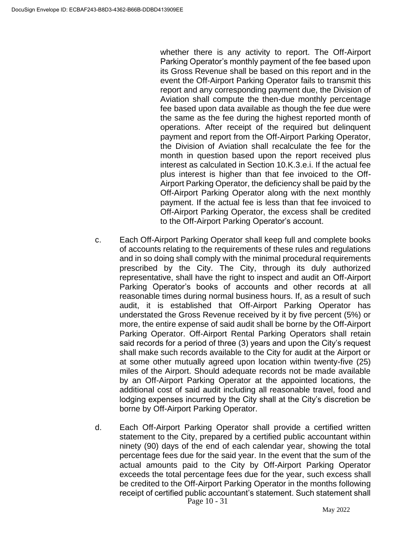whether there is any activity to report. The Off-Airport Parking Operator's monthly payment of the fee based upon its Gross Revenue shall be based on this report and in the event the Off-Airport Parking Operator fails to transmit this report and any corresponding payment due, the Division of Aviation shall compute the then-due monthly percentage fee based upon data available as though the fee due were the same as the fee during the highest reported month of operations. After receipt of the required but delinquent payment and report from the Off-Airport Parking Operator, the Division of Aviation shall recalculate the fee for the month in question based upon the report received plus interest as calculated in Section 10.K.3.e.i. If the actual fee plus interest is higher than that fee invoiced to the Off-Airport Parking Operator, the deficiency shall be paid by the Off-Airport Parking Operator along with the next monthly payment. If the actual fee is less than that fee invoiced to Off-Airport Parking Operator, the excess shall be credited to the Off-Airport Parking Operator's account.

- c. Each Off-Airport Parking Operator shall keep full and complete books of accounts relating to the requirements of these rules and regulations and in so doing shall comply with the minimal procedural requirements prescribed by the City. The City, through its duly authorized representative, shall have the right to inspect and audit an Off-Airport Parking Operator's books of accounts and other records at all reasonable times during normal business hours. If, as a result of such audit, it is established that Off-Airport Parking Operator has understated the Gross Revenue received by it by five percent (5%) or more, the entire expense of said audit shall be borne by the Off-Airport Parking Operator. Off-Airport Rental Parking Operators shall retain said records for a period of three (3) years and upon the City's request shall make such records available to the City for audit at the Airport or at some other mutually agreed upon location within twenty-five (25) miles of the Airport. Should adequate records not be made available by an Off-Airport Parking Operator at the appointed locations, the additional cost of said audit including all reasonable travel, food and lodging expenses incurred by the City shall at the City's discretion be borne by Off-Airport Parking Operator.
- Page 10 31 d. Each Off-Airport Parking Operator shall provide a certified written statement to the City, prepared by a certified public accountant within ninety (90) days of the end of each calendar year, showing the total percentage fees due for the said year. In the event that the sum of the actual amounts paid to the City by Off-Airport Parking Operator exceeds the total percentage fees due for the year, such excess shall be credited to the Off-Airport Parking Operator in the months following receipt of certified public accountant's statement. Such statement shall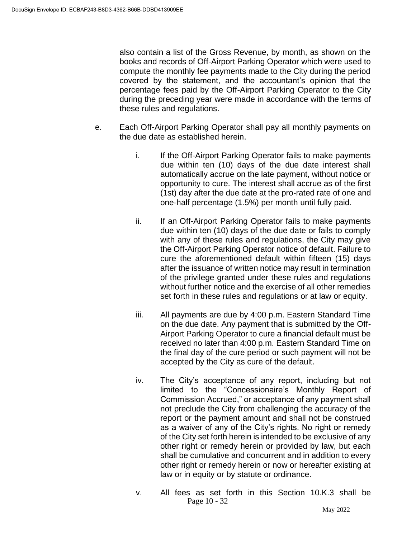also contain a list of the Gross Revenue, by month, as shown on the books and records of Off-Airport Parking Operator which were used to compute the monthly fee payments made to the City during the period covered by the statement, and the accountant's opinion that the percentage fees paid by the Off-Airport Parking Operator to the City during the preceding year were made in accordance with the terms of these rules and regulations.

- e. Each Off-Airport Parking Operator shall pay all monthly payments on the due date as established herein.
	- i. If the Off-Airport Parking Operator fails to make payments due within ten (10) days of the due date interest shall automatically accrue on the late payment, without notice or opportunity to cure. The interest shall accrue as of the first (1st) day after the due date at the pro-rated rate of one and one-half percentage (1.5%) per month until fully paid.
	- ii. If an Off-Airport Parking Operator fails to make payments due within ten (10) days of the due date or fails to comply with any of these rules and regulations, the City may give the Off-Airport Parking Operator notice of default. Failure to cure the aforementioned default within fifteen (15) days after the issuance of written notice may result in termination of the privilege granted under these rules and regulations without further notice and the exercise of all other remedies set forth in these rules and regulations or at law or equity.
	- iii. All payments are due by 4:00 p.m. Eastern Standard Time on the due date. Any payment that is submitted by the Off-Airport Parking Operator to cure a financial default must be received no later than 4:00 p.m. Eastern Standard Time on the final day of the cure period or such payment will not be accepted by the City as cure of the default.
	- iv. The City's acceptance of any report, including but not limited to the "Concessionaire's Monthly Report of Commission Accrued," or acceptance of any payment shall not preclude the City from challenging the accuracy of the report or the payment amount and shall not be construed as a waiver of any of the City's rights. No right or remedy of the City set forth herein is intended to be exclusive of any other right or remedy herein or provided by law, but each shall be cumulative and concurrent and in addition to every other right or remedy herein or now or hereafter existing at law or in equity or by statute or ordinance.
	- Page 10 32 v. All fees as set forth in this Section 10.K.3 shall be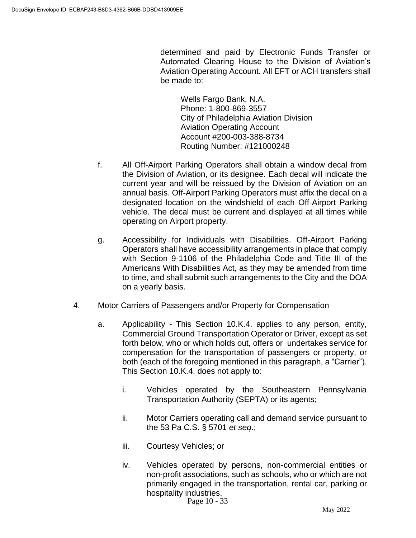determined and paid by Electronic Funds Transfer or Automated Clearing House to the Division of Aviation's Aviation Operating Account. All EFT or ACH transfers shall be made to:

Wells Fargo Bank, N.A. Phone: 1-800-869-3557 City of Philadelphia Aviation Division Aviation Operating Account Account #200-003-388-8734 Routing Number: #121000248

- f. All Off-Airport Parking Operators shall obtain a window decal from the Division of Aviation, or its designee. Each decal will indicate the current year and will be reissued by the Division of Aviation on an annual basis. Off-Airport Parking Operators must affix the decal on a designated location on the windshield of each Off-Airport Parking vehicle. The decal must be current and displayed at all times while operating on Airport property.
- g. Accessibility for Individuals with Disabilities. Off-Airport Parking Operators shall have accessibility arrangements in place that comply with Section 9-1106 of the Philadelphia Code and Title III of the Americans With Disabilities Act, as they may be amended from time to time, and shall submit such arrangements to the City and the DOA on a yearly basis.
- 4. Motor Carriers of Passengers and/or Property for Compensation
	- a. Applicability This Section 10.K.4. applies to any person, entity, Commercial Ground Transportation Operator or Driver, except as set forth below, who or which holds out, offers or undertakes service for compensation for the transportation of passengers or property, or both (each of the foregoing mentioned in this paragraph, a "Carrier"). This Section 10.K.4. does not apply to:
		- i. Vehicles operated by the Southeastern Pennsylvania Transportation Authority (SEPTA) or its agents;
		- ii. Motor Carriers operating call and demand service pursuant to the 53 Pa C.S. § 5701 *et seq*.;
		- iii. Courtesy Vehicles; or
		- iv. Vehicles operated by persons, non-commercial entities or non-profit associations, such as schools, who or which are not primarily engaged in the transportation, rental car, parking or hospitality industries.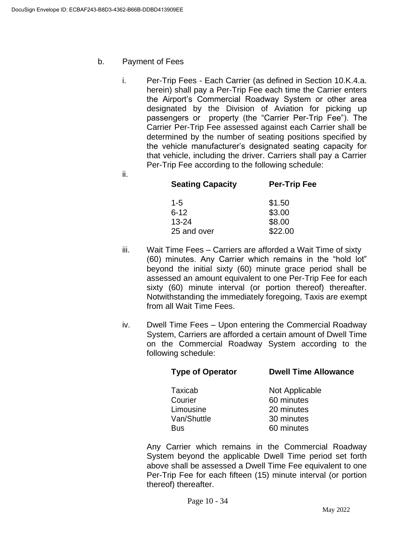b. Payment of Fees

ii.

- i. Per-Trip Fees Each Carrier (as defined in Section 10.K.4.a. herein) shall pay a Per-Trip Fee each time the Carrier enters the Airport's Commercial Roadway System or other area designated by the Division of Aviation for picking up passengers or property (the "Carrier Per-Trip Fee"). The Carrier Per-Trip Fee assessed against each Carrier shall be determined by the number of seating positions specified by the vehicle manufacturer's designated seating capacity for that vehicle, including the driver. Carriers shall pay a Carrier Per-Trip Fee according to the following schedule:
	- **Seating Capacity Per-Trip Fee** 1-5 \$1.50 6-12 \$3.00 13-24 \$8.00 25 and over \$22.00
- iii. Wait Time Fees Carriers are afforded a Wait Time of sixty (60) minutes. Any Carrier which remains in the "hold lot" beyond the initial sixty (60) minute grace period shall be assessed an amount equivalent to one Per-Trip Fee for each sixty (60) minute interval (or portion thereof) thereafter. Notwithstanding the immediately foregoing, Taxis are exempt from all Wait Time Fees.
- iv. Dwell Time Fees Upon entering the Commercial Roadway System, Carriers are afforded a certain amount of Dwell Time on the Commercial Roadway System according to the following schedule:

| <b>Type of Operator</b> | <b>Dwell Time Allowance</b> |
|-------------------------|-----------------------------|
| Taxicab                 | Not Applicable              |
| Courier                 | 60 minutes                  |
| Limousine               | 20 minutes                  |
| Van/Shuttle             | 30 minutes                  |
| <b>Bus</b>              | 60 minutes                  |
|                         |                             |

Any Carrier which remains in the Commercial Roadway System beyond the applicable Dwell Time period set forth above shall be assessed a Dwell Time Fee equivalent to one Per-Trip Fee for each fifteen (15) minute interval (or portion thereof) thereafter.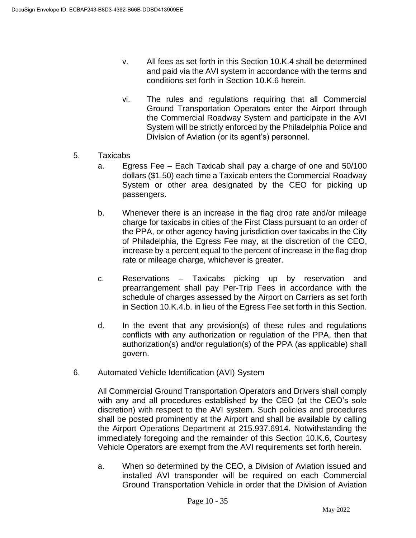- v. All fees as set forth in this Section 10.K.4 shall be determined and paid via the AVI system in accordance with the terms and conditions set forth in Section 10.K.6 herein.
- vi. The rules and regulations requiring that all Commercial Ground Transportation Operators enter the Airport through the Commercial Roadway System and participate in the AVI System will be strictly enforced by the Philadelphia Police and Division of Aviation (or its agent's) personnel.
- 5. Taxicabs
	- a. Egress Fee Each Taxicab shall pay a charge of one and 50/100 dollars (\$1.50) each time a Taxicab enters the Commercial Roadway System or other area designated by the CEO for picking up passengers.
	- b. Whenever there is an increase in the flag drop rate and/or mileage charge for taxicabs in cities of the First Class pursuant to an order of the PPA, or other agency having jurisdiction over taxicabs in the City of Philadelphia, the Egress Fee may, at the discretion of the CEO, increase by a percent equal to the percent of increase in the flag drop rate or mileage charge, whichever is greater.
	- c. Reservations Taxicabs picking up by reservation and prearrangement shall pay Per-Trip Fees in accordance with the schedule of charges assessed by the Airport on Carriers as set forth in Section 10.K.4.b. in lieu of the Egress Fee set forth in this Section.
	- d. In the event that any provision(s) of these rules and regulations conflicts with any authorization or regulation of the PPA, then that authorization(s) and/or regulation(s) of the PPA (as applicable) shall govern.
- 6. Automated Vehicle Identification (AVI) System

All Commercial Ground Transportation Operators and Drivers shall comply with any and all procedures established by the CEO (at the CEO's sole discretion) with respect to the AVI system. Such policies and procedures shall be posted prominently at the Airport and shall be available by calling the Airport Operations Department at 215.937.6914. Notwithstanding the immediately foregoing and the remainder of this Section 10.K.6, Courtesy Vehicle Operators are exempt from the AVI requirements set forth herein.

a. When so determined by the CEO, a Division of Aviation issued and installed AVI transponder will be required on each Commercial Ground Transportation Vehicle in order that the Division of Aviation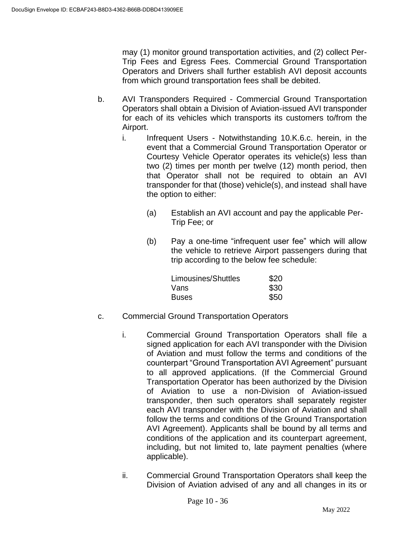may (1) monitor ground transportation activities, and (2) collect Per-Trip Fees and Egress Fees. Commercial Ground Transportation Operators and Drivers shall further establish AVI deposit accounts from which ground transportation fees shall be debited.

- b. AVI Transponders Required Commercial Ground Transportation Operators shall obtain a Division of Aviation-issued AVI transponder for each of its vehicles which transports its customers to/from the Airport.
	- i. Infrequent Users Notwithstanding 10.K.6.c. herein, in the event that a Commercial Ground Transportation Operator or Courtesy Vehicle Operator operates its vehicle(s) less than two (2) times per month per twelve (12) month period, then that Operator shall not be required to obtain an AVI transponder for that (those) vehicle(s), and instead shall have the option to either:
		- (a) Establish an AVI account and pay the applicable Per-Trip Fee; or
		- (b) Pay a one-time "infrequent user fee" which will allow the vehicle to retrieve Airport passengers during that trip according to the below fee schedule:

| Limousines/Shuttles | \$20 |
|---------------------|------|
| Vans                | \$30 |
| <b>Buses</b>        | \$50 |

- c. Commercial Ground Transportation Operators
	- i. Commercial Ground Transportation Operators shall file a signed application for each AVI transponder with the Division of Aviation and must follow the terms and conditions of the counterpart "Ground Transportation AVI Agreement" pursuant to all approved applications. (If the Commercial Ground Transportation Operator has been authorized by the Division of Aviation to use a non-Division of Aviation-issued transponder, then such operators shall separately register each AVI transponder with the Division of Aviation and shall follow the terms and conditions of the Ground Transportation AVI Agreement). Applicants shall be bound by all terms and conditions of the application and its counterpart agreement, including, but not limited to, late payment penalties (where applicable).
	- ii. Commercial Ground Transportation Operators shall keep the Division of Aviation advised of any and all changes in its or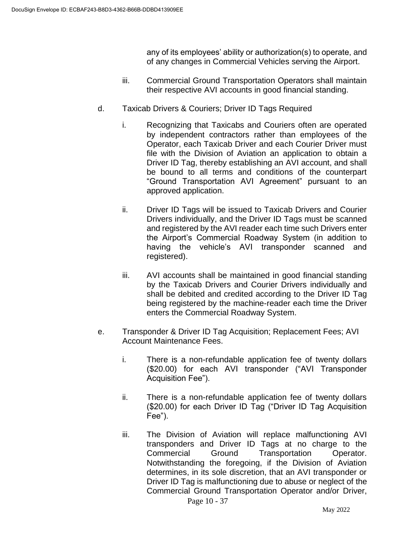any of its employees' ability or authorization(s) to operate, and of any changes in Commercial Vehicles serving the Airport.

- iii. Commercial Ground Transportation Operators shall maintain their respective AVI accounts in good financial standing.
- d. Taxicab Drivers & Couriers; Driver ID Tags Required
	- i. Recognizing that Taxicabs and Couriers often are operated by independent contractors rather than employees of the Operator, each Taxicab Driver and each Courier Driver must file with the Division of Aviation an application to obtain a Driver ID Tag, thereby establishing an AVI account, and shall be bound to all terms and conditions of the counterpart "Ground Transportation AVI Agreement" pursuant to an approved application.
	- ii. Driver ID Tags will be issued to Taxicab Drivers and Courier Drivers individually, and the Driver ID Tags must be scanned and registered by the AVI reader each time such Drivers enter the Airport's Commercial Roadway System (in addition to having the vehicle's AVI transponder scanned and registered).
	- iii. AVI accounts shall be maintained in good financial standing by the Taxicab Drivers and Courier Drivers individually and shall be debited and credited according to the Driver ID Tag being registered by the machine-reader each time the Driver enters the Commercial Roadway System.
- e. Transponder & Driver ID Tag Acquisition; Replacement Fees; AVI Account Maintenance Fees.
	- i. There is a non-refundable application fee of twenty dollars (\$20.00) for each AVI transponder ("AVI Transponder Acquisition Fee").
	- ii. There is a non-refundable application fee of twenty dollars (\$20.00) for each Driver ID Tag ("Driver ID Tag Acquisition Fee").
	- iii. The Division of Aviation will replace malfunctioning AVI transponders and Driver ID Tags at no charge to the Commercial Ground Transportation Operator. Notwithstanding the foregoing, if the Division of Aviation determines, in its sole discretion, that an AVI transponder or Driver ID Tag is malfunctioning due to abuse or neglect of the Commercial Ground Transportation Operator and/or Driver,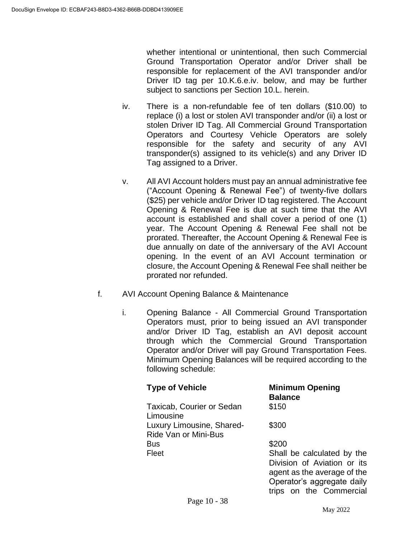whether intentional or unintentional, then such Commercial Ground Transportation Operator and/or Driver shall be responsible for replacement of the AVI transponder and/or Driver ID tag per 10.K.6.e.iv. below, and may be further subject to sanctions per Section 10.L. herein.

- iv. There is a non-refundable fee of ten dollars (\$10.00) to replace (i) a lost or stolen AVI transponder and/or (ii) a lost or stolen Driver ID Tag. All Commercial Ground Transportation Operators and Courtesy Vehicle Operators are solely responsible for the safety and security of any AVI transponder(s) assigned to its vehicle(s) and any Driver ID Tag assigned to a Driver.
- v. All AVI Account holders must pay an annual administrative fee ("Account Opening & Renewal Fee") of twenty-five dollars (\$25) per vehicle and/or Driver ID tag registered. The Account Opening & Renewal Fee is due at such time that the AVI account is established and shall cover a period of one (1) year. The Account Opening & Renewal Fee shall not be prorated. Thereafter, the Account Opening & Renewal Fee is due annually on date of the anniversary of the AVI Account opening. In the event of an AVI Account termination or closure, the Account Opening & Renewal Fee shall neither be prorated nor refunded.
- f. AVI Account Opening Balance & Maintenance
	- i. Opening Balance All Commercial Ground Transportation Operators must, prior to being issued an AVI transponder and/or Driver ID Tag, establish an AVI deposit account through which the Commercial Ground Transportation Operator and/or Driver will pay Ground Transportation Fees. Minimum Opening Balances will be required according to the following schedule:

| <b>Type of Vehicle</b>                            | <b>Minimum Opening</b><br><b>Balance</b>                                                                               |
|---------------------------------------------------|------------------------------------------------------------------------------------------------------------------------|
| Taxicab, Courier or Sedan<br>Limousine            | \$150                                                                                                                  |
| Luxury Limousine, Shared-<br>Ride Van or Mini-Bus | \$300                                                                                                                  |
| <b>Bus</b>                                        | \$200                                                                                                                  |
| Fleet                                             | Shall be calculated by the<br>Division of Aviation or its<br>agent as the average of the<br>Operator's aggregate daily |
|                                                   | trips on the Commercial                                                                                                |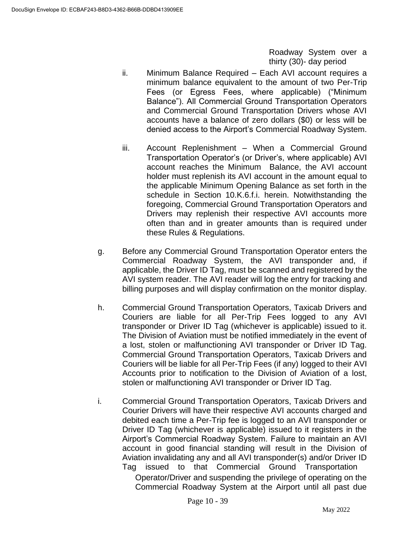Roadway System over a thirty (30)- day period

- ii. Minimum Balance Required Each AVI account requires a minimum balance equivalent to the amount of two Per-Trip Fees (or Egress Fees, where applicable) ("Minimum Balance"). All Commercial Ground Transportation Operators and Commercial Ground Transportation Drivers whose AVI accounts have a balance of zero dollars (\$0) or less will be denied access to the Airport's Commercial Roadway System.
- iii. Account Replenishment When a Commercial Ground Transportation Operator's (or Driver's, where applicable) AVI account reaches the Minimum Balance, the AVI account holder must replenish its AVI account in the amount equal to the applicable Minimum Opening Balance as set forth in the schedule in Section 10.K.6.f.i. herein. Notwithstanding the foregoing, Commercial Ground Transportation Operators and Drivers may replenish their respective AVI accounts more often than and in greater amounts than is required under these Rules & Regulations.
- g. Before any Commercial Ground Transportation Operator enters the Commercial Roadway System, the AVI transponder and, if applicable, the Driver ID Tag, must be scanned and registered by the AVI system reader. The AVI reader will log the entry for tracking and billing purposes and will display confirmation on the monitor display.
- h. Commercial Ground Transportation Operators, Taxicab Drivers and Couriers are liable for all Per-Trip Fees logged to any AVI transponder or Driver ID Tag (whichever is applicable) issued to it. The Division of Aviation must be notified immediately in the event of a lost, stolen or malfunctioning AVI transponder or Driver ID Tag. Commercial Ground Transportation Operators, Taxicab Drivers and Couriers will be liable for all Per-Trip Fees (if any) logged to their AVI Accounts prior to notification to the Division of Aviation of a lost, stolen or malfunctioning AVI transponder or Driver ID Tag.
- i. Commercial Ground Transportation Operators, Taxicab Drivers and Courier Drivers will have their respective AVI accounts charged and debited each time a Per-Trip fee is logged to an AVI transponder or Driver ID Tag (whichever is applicable) issued to it registers in the Airport's Commercial Roadway System. Failure to maintain an AVI account in good financial standing will result in the Division of Aviation invalidating any and all AVI transponder(s) and/or Driver ID Tag issued to that Commercial Ground Transportation

Operator/Driver and suspending the privilege of operating on the Commercial Roadway System at the Airport until all past due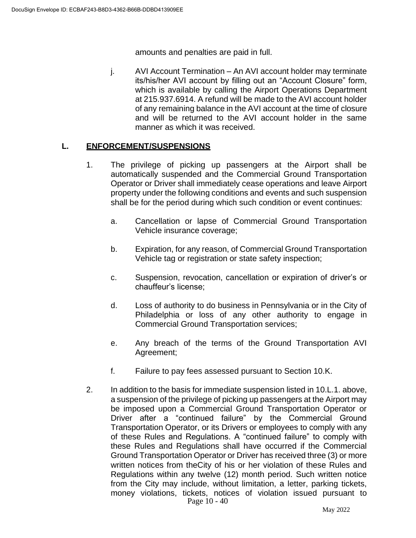amounts and penalties are paid in full.

j. AVI Account Termination – An AVI account holder may terminate its/his/her AVI account by filling out an "Account Closure" form, which is available by calling the Airport Operations Department at 215.937.6914. A refund will be made to the AVI account holder of any remaining balance in the AVI account at the time of closure and will be returned to the AVI account holder in the same manner as which it was received.

### **L. ENFORCEMENT/SUSPENSIONS**

- 1. The privilege of picking up passengers at the Airport shall be automatically suspended and the Commercial Ground Transportation Operator or Driver shall immediately cease operations and leave Airport property under the following conditions and events and such suspension shall be for the period during which such condition or event continues:
	- a. Cancellation or lapse of Commercial Ground Transportation Vehicle insurance coverage;
	- b. Expiration, for any reason, of Commercial Ground Transportation Vehicle tag or registration or state safety inspection;
	- c. Suspension, revocation, cancellation or expiration of driver's or chauffeur's license;
	- d. Loss of authority to do business in Pennsylvania or in the City of Philadelphia or loss of any other authority to engage in Commercial Ground Transportation services;
	- e. Any breach of the terms of the Ground Transportation AVI Agreement;
	- f. Failure to pay fees assessed pursuant to Section 10.K.
- Page 10 40 2. In addition to the basis for immediate suspension listed in 10.L.1. above, a suspension of the privilege of picking up passengers at the Airport may be imposed upon a Commercial Ground Transportation Operator or Driver after a "continued failure" by the Commercial Ground Transportation Operator, or its Drivers or employees to comply with any of these Rules and Regulations. A "continued failure" to comply with these Rules and Regulations shall have occurred if the Commercial Ground Transportation Operator or Driver has received three (3) or more written notices from theCity of his or her violation of these Rules and Regulations within any twelve (12) month period. Such written notice from the City may include, without limitation, a letter, parking tickets, money violations, tickets, notices of violation issued pursuant to